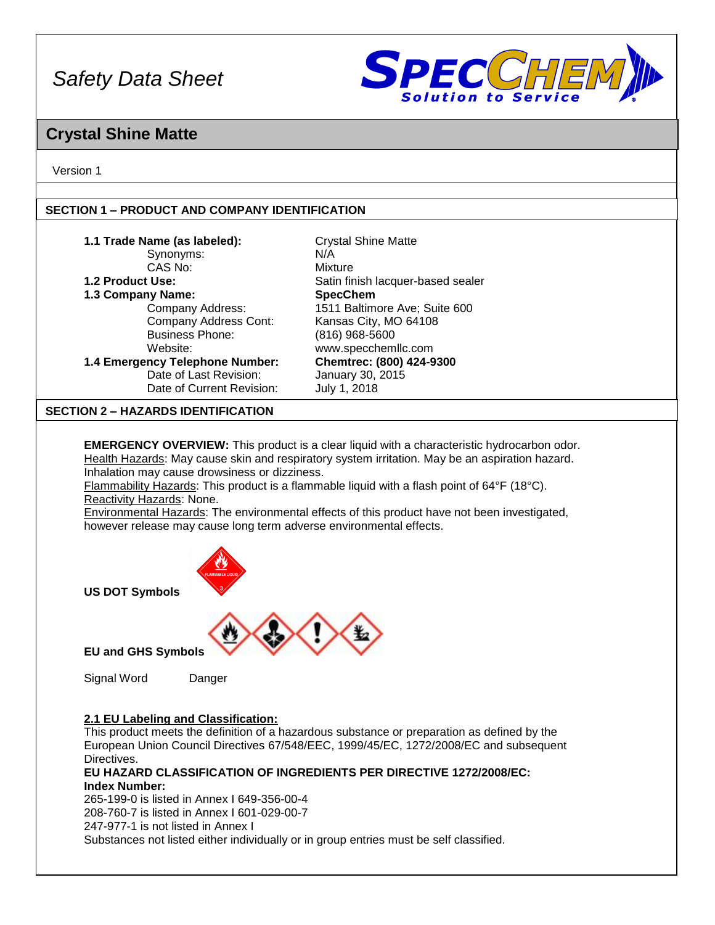

### **Crystal Shine Matte**

Version 1

#### **SECTION 1 – PRODUCT AND COMPANY IDENTIFICATION**

| 1.1 Trade Name (as labeled):<br><b>Crystal Shine Matte</b><br>Synonyms:<br>N/A<br>CAS No:<br>Mixture<br>1.2 Product Use:<br>Satin finish lacquer-based sealer<br><b>SpecChem</b><br>1.3 Company Name:<br>1511 Baltimore Ave; Suite 600<br>Company Address:<br>Company Address Cont:<br>Kansas City, MO 64108<br><b>Business Phone:</b><br>(816) 968-5600<br>www.specchemllc.com<br>Website:<br>Chemtrec: (800) 424-9300<br>1.4 Emergency Telephone Number:<br>Date of Last Revision:<br>January 30, 2015<br>July 1, 2018<br>Date of Current Revision:<br><b>SECTION 2 - HAZARDS IDENTIFICATION</b><br><b>EMERGENCY OVERVIEW:</b> This product is a clear liquid with a characteristic hydrocarbon odor.<br>Health Hazards: May cause skin and respiratory system irritation. May be an aspiration hazard.<br>Inhalation may cause drowsiness or dizziness. |  |  |  |  |
|------------------------------------------------------------------------------------------------------------------------------------------------------------------------------------------------------------------------------------------------------------------------------------------------------------------------------------------------------------------------------------------------------------------------------------------------------------------------------------------------------------------------------------------------------------------------------------------------------------------------------------------------------------------------------------------------------------------------------------------------------------------------------------------------------------------------------------------------------------|--|--|--|--|
|                                                                                                                                                                                                                                                                                                                                                                                                                                                                                                                                                                                                                                                                                                                                                                                                                                                            |  |  |  |  |
|                                                                                                                                                                                                                                                                                                                                                                                                                                                                                                                                                                                                                                                                                                                                                                                                                                                            |  |  |  |  |
|                                                                                                                                                                                                                                                                                                                                                                                                                                                                                                                                                                                                                                                                                                                                                                                                                                                            |  |  |  |  |
|                                                                                                                                                                                                                                                                                                                                                                                                                                                                                                                                                                                                                                                                                                                                                                                                                                                            |  |  |  |  |
|                                                                                                                                                                                                                                                                                                                                                                                                                                                                                                                                                                                                                                                                                                                                                                                                                                                            |  |  |  |  |
|                                                                                                                                                                                                                                                                                                                                                                                                                                                                                                                                                                                                                                                                                                                                                                                                                                                            |  |  |  |  |
|                                                                                                                                                                                                                                                                                                                                                                                                                                                                                                                                                                                                                                                                                                                                                                                                                                                            |  |  |  |  |
|                                                                                                                                                                                                                                                                                                                                                                                                                                                                                                                                                                                                                                                                                                                                                                                                                                                            |  |  |  |  |
|                                                                                                                                                                                                                                                                                                                                                                                                                                                                                                                                                                                                                                                                                                                                                                                                                                                            |  |  |  |  |
|                                                                                                                                                                                                                                                                                                                                                                                                                                                                                                                                                                                                                                                                                                                                                                                                                                                            |  |  |  |  |
|                                                                                                                                                                                                                                                                                                                                                                                                                                                                                                                                                                                                                                                                                                                                                                                                                                                            |  |  |  |  |
|                                                                                                                                                                                                                                                                                                                                                                                                                                                                                                                                                                                                                                                                                                                                                                                                                                                            |  |  |  |  |
| Flammability Hazards: This product is a flammable liquid with a flash point of $64^{\circ}F$ (18 $^{\circ}C$ ).<br>Reactivity Hazards: None.<br><b>Environmental Hazards:</b> The environmental effects of this product have not been investigated,<br>however release may cause long term adverse environmental effects.                                                                                                                                                                                                                                                                                                                                                                                                                                                                                                                                  |  |  |  |  |



**US DOT Symbols**



**EU and GHS Symbols**

Signal Word Danger

#### **2.1 EU Labeling and Classification:**

This product meets the definition of a hazardous substance or preparation as defined by the European Union Council Directives 67/548/EEC, 1999/45/EC, 1272/2008/EC and subsequent Directives.

**EU HAZARD CLASSIFICATION OF INGREDIENTS PER DIRECTIVE 1272/2008/EC: Index Number:**

265-199-0 is listed in Annex I 649-356-00-4 208-760-7 is listed in Annex I 601-029-00-7 247-977-1 is not listed in Annex I Substances not listed either individually or in group entries must be self classified.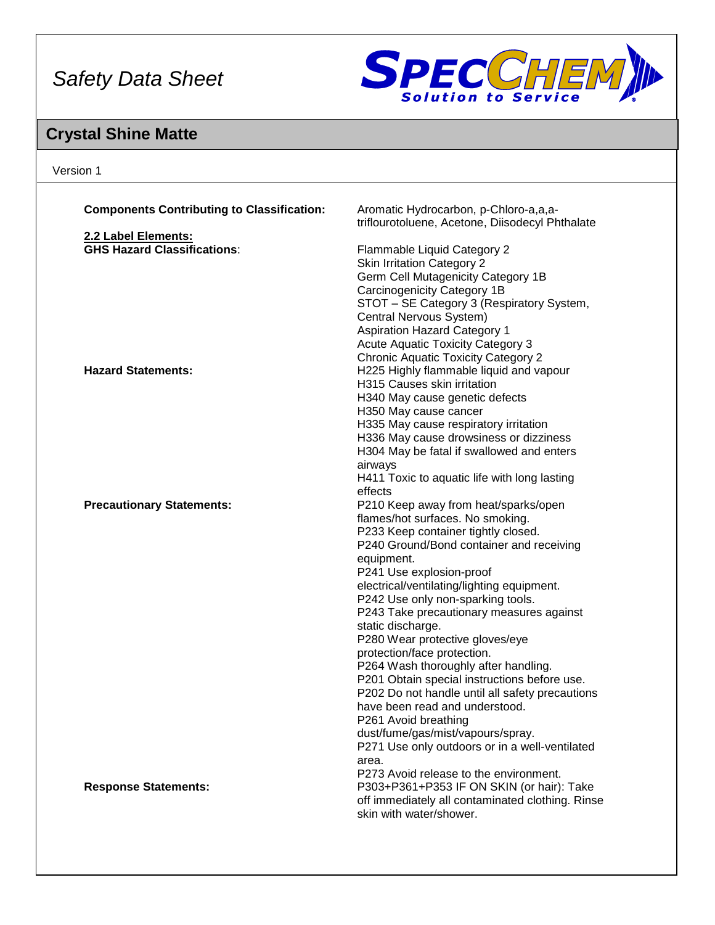

## **Crystal Shine Matte**

| Version 1                                                 |                                                                                     |
|-----------------------------------------------------------|-------------------------------------------------------------------------------------|
| <b>Components Contributing to Classification:</b>         | Aromatic Hydrocarbon, p-Chloro-a,a,a-                                               |
|                                                           | triflourotoluene, Acetone, Diisodecyl Phthalate                                     |
| 2.2 Label Elements:<br><b>GHS Hazard Classifications:</b> |                                                                                     |
|                                                           | Flammable Liquid Category 2<br><b>Skin Irritation Category 2</b>                    |
|                                                           | Germ Cell Mutagenicity Category 1B                                                  |
|                                                           | Carcinogenicity Category 1B                                                         |
|                                                           | STOT - SE Category 3 (Respiratory System,                                           |
|                                                           | Central Nervous System)                                                             |
|                                                           | <b>Aspiration Hazard Category 1</b>                                                 |
|                                                           | <b>Acute Aquatic Toxicity Category 3</b>                                            |
|                                                           | <b>Chronic Aquatic Toxicity Category 2</b>                                          |
| <b>Hazard Statements:</b>                                 | H225 Highly flammable liquid and vapour                                             |
|                                                           | H315 Causes skin irritation                                                         |
|                                                           | H340 May cause genetic defects                                                      |
|                                                           | H350 May cause cancer                                                               |
|                                                           | H335 May cause respiratory irritation                                               |
|                                                           | H336 May cause drowsiness or dizziness                                              |
|                                                           | H304 May be fatal if swallowed and enters                                           |
|                                                           | airways                                                                             |
|                                                           | H411 Toxic to aquatic life with long lasting                                        |
|                                                           | effects                                                                             |
| <b>Precautionary Statements:</b>                          | P210 Keep away from heat/sparks/open<br>flames/hot surfaces. No smoking.            |
|                                                           | P233 Keep container tightly closed.                                                 |
|                                                           | P240 Ground/Bond container and receiving                                            |
|                                                           | equipment.                                                                          |
|                                                           | P241 Use explosion-proof                                                            |
|                                                           | electrical/ventilating/lighting equipment.                                          |
|                                                           | P242 Use only non-sparking tools.                                                   |
|                                                           | P243 Take precautionary measures against                                            |
|                                                           | static discharge.                                                                   |
|                                                           | P280 Wear protective gloves/eye                                                     |
|                                                           | protection/face protection.                                                         |
|                                                           | P264 Wash thoroughly after handling.                                                |
|                                                           | P201 Obtain special instructions before use.                                        |
|                                                           | P202 Do not handle until all safety precautions                                     |
|                                                           | have been read and understood.                                                      |
|                                                           | P261 Avoid breathing                                                                |
|                                                           | dust/fume/gas/mist/vapours/spray.<br>P271 Use only outdoors or in a well-ventilated |
|                                                           | area.                                                                               |
|                                                           | P273 Avoid release to the environment.                                              |
| <b>Response Statements:</b>                               | P303+P361+P353 IF ON SKIN (or hair): Take                                           |
|                                                           | off immediately all contaminated clothing. Rinse                                    |
|                                                           | skin with water/shower.                                                             |
|                                                           |                                                                                     |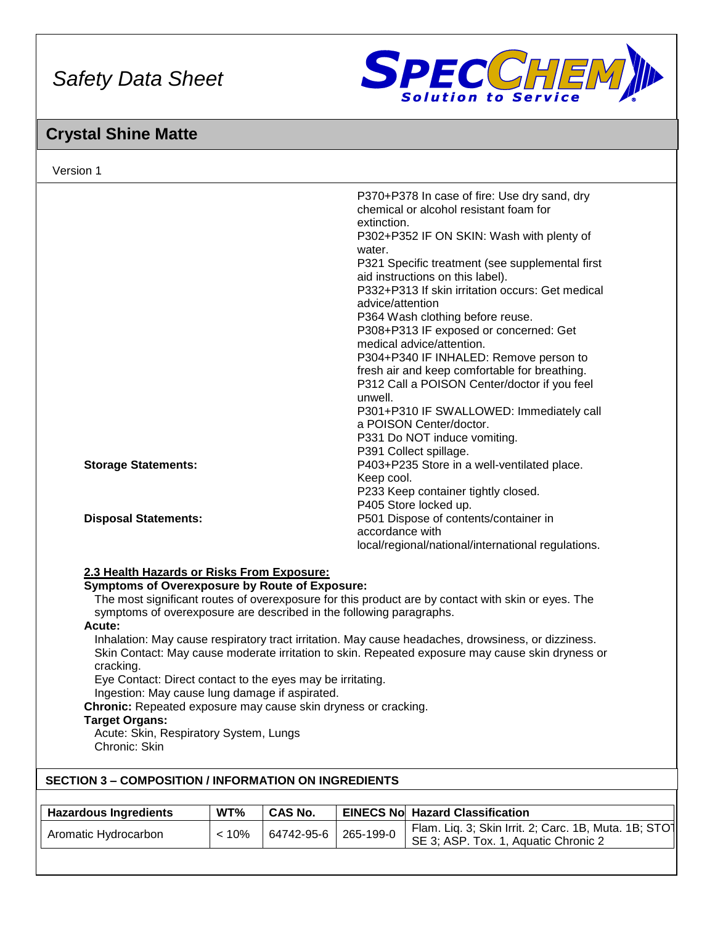

## **Crystal Shine Matte**

| Version 1                                                                                                                                                                                                                                                                                                                                                                                                                                                                                                                         |                                                                                                                |                |                  |                                                                                              |  |
|-----------------------------------------------------------------------------------------------------------------------------------------------------------------------------------------------------------------------------------------------------------------------------------------------------------------------------------------------------------------------------------------------------------------------------------------------------------------------------------------------------------------------------------|----------------------------------------------------------------------------------------------------------------|----------------|------------------|----------------------------------------------------------------------------------------------|--|
| P370+P378 In case of fire: Use dry sand, dry<br>chemical or alcohol resistant foam for<br>extinction.<br>P302+P352 IF ON SKIN: Wash with plenty of<br>water.<br>P321 Specific treatment (see supplemental first<br>aid instructions on this label).<br>P332+P313 If skin irritation occurs: Get medical<br>advice/attention<br>P364 Wash clothing before reuse.<br>P308+P313 IF exposed or concerned: Get<br>medical advice/attention.<br>P304+P340 IF INHALED: Remove person to<br>fresh air and keep comfortable for breathing. |                                                                                                                |                |                  |                                                                                              |  |
| P312 Call a POISON Center/doctor if you feel<br>unwell.<br>P301+P310 IF SWALLOWED: Immediately call<br>a POISON Center/doctor.<br>P331 Do NOT induce vomiting.<br>P391 Collect spillage.                                                                                                                                                                                                                                                                                                                                          |                                                                                                                |                |                  |                                                                                              |  |
| P403+P235 Store in a well-ventilated place.<br><b>Storage Statements:</b><br>Keep cool.<br>P233 Keep container tightly closed.<br>P405 Store locked up.                                                                                                                                                                                                                                                                                                                                                                           |                                                                                                                |                |                  |                                                                                              |  |
| <b>Disposal Statements:</b>                                                                                                                                                                                                                                                                                                                                                                                                                                                                                                       | P501 Dispose of contents/container in<br>accordance with<br>local/regional/national/international regulations. |                |                  |                                                                                              |  |
| 2.3 Health Hazards or Risks From Exposure:<br><b>Symptoms of Overexposure by Route of Exposure:</b><br>The most significant routes of overexposure for this product are by contact with skin or eyes. The<br>symptoms of overexposure are described in the following paragraphs.                                                                                                                                                                                                                                                  |                                                                                                                |                |                  |                                                                                              |  |
| Acute:<br>Inhalation: May cause respiratory tract irritation. May cause headaches, drowsiness, or dizziness.<br>Skin Contact: May cause moderate irritation to skin. Repeated exposure may cause skin dryness or<br>cracking.<br>Eye Contact: Direct contact to the eyes may be irritating.<br>Ingestion: May cause lung damage if aspirated.<br>Chronic: Repeated exposure may cause skin dryness or cracking.<br><b>Target Organs:</b><br>Acute: Skin, Respiratory System, Lungs<br>Chronic: Skin                               |                                                                                                                |                |                  |                                                                                              |  |
| <b>SECTION 3 - COMPOSITION / INFORMATION ON INGREDIENTS</b>                                                                                                                                                                                                                                                                                                                                                                                                                                                                       |                                                                                                                |                |                  |                                                                                              |  |
| <b>Hazardous Ingredients</b>                                                                                                                                                                                                                                                                                                                                                                                                                                                                                                      | WT%                                                                                                            | <b>CAS No.</b> | <b>EINECS No</b> | <b>Hazard Classification</b>                                                                 |  |
| Aromatic Hydrocarbon                                                                                                                                                                                                                                                                                                                                                                                                                                                                                                              | < 10%                                                                                                          | 64742-95-6     | 265-199-0        | Flam. Liq. 3; Skin Irrit. 2; Carc. 1B, Muta. 1B; STO<br>SE 3; ASP. Tox. 1, Aquatic Chronic 2 |  |
|                                                                                                                                                                                                                                                                                                                                                                                                                                                                                                                                   |                                                                                                                |                |                  |                                                                                              |  |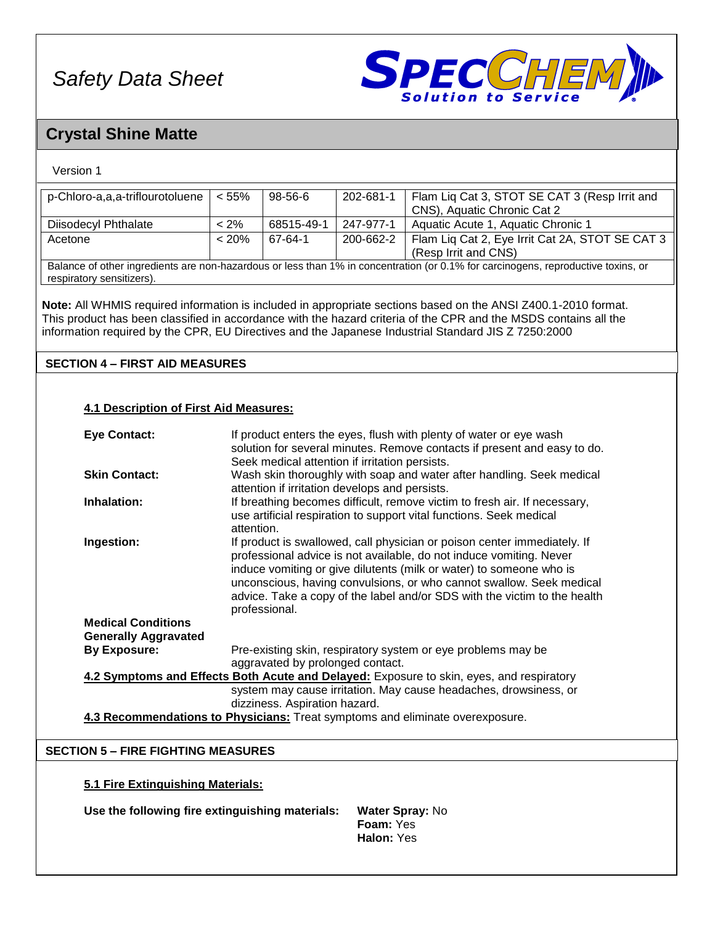

## **Crystal Shine Matte**

### Version 1

| p-Chloro-a,a,a-triflourotoluene                                                          | < 55%                                                                                                          | 98-56-6                                        | 202-681-1 | Flam Liq Cat 3, STOT SE CAT 3 (Resp Irrit and                                                                                     |  |
|------------------------------------------------------------------------------------------|----------------------------------------------------------------------------------------------------------------|------------------------------------------------|-----------|-----------------------------------------------------------------------------------------------------------------------------------|--|
|                                                                                          |                                                                                                                |                                                |           | CNS), Aquatic Chronic Cat 2                                                                                                       |  |
| Diisodecyl Phthalate                                                                     | $< 2\%$                                                                                                        | 68515-49-1                                     | 247-977-1 | Aquatic Acute 1, Aquatic Chronic 1                                                                                                |  |
| Acetone                                                                                  | < 20%                                                                                                          | 67-64-1                                        | 200-662-2 | Flam Liq Cat 2, Eye Irrit Cat 2A, STOT SE CAT 3                                                                                   |  |
|                                                                                          |                                                                                                                |                                                |           | (Resp Irrit and CNS)                                                                                                              |  |
|                                                                                          |                                                                                                                |                                                |           | Balance of other ingredients are non-hazardous or less than 1% in concentration (or 0.1% for carcinogens, reproductive toxins, or |  |
| respiratory sensitizers).                                                                |                                                                                                                |                                                |           |                                                                                                                                   |  |
|                                                                                          |                                                                                                                |                                                |           |                                                                                                                                   |  |
|                                                                                          | Note: All WHMIS required information is included in appropriate sections based on the ANSI Z400.1-2010 format. |                                                |           |                                                                                                                                   |  |
|                                                                                          |                                                                                                                |                                                |           |                                                                                                                                   |  |
|                                                                                          |                                                                                                                |                                                |           | This product has been classified in accordance with the hazard criteria of the CPR and the MSDS contains all the                  |  |
|                                                                                          |                                                                                                                |                                                |           | information required by the CPR, EU Directives and the Japanese Industrial Standard JIS Z 7250:2000                               |  |
|                                                                                          |                                                                                                                |                                                |           |                                                                                                                                   |  |
| <b>SECTION 4 - FIRST AID MEASURES</b>                                                    |                                                                                                                |                                                |           |                                                                                                                                   |  |
|                                                                                          |                                                                                                                |                                                |           |                                                                                                                                   |  |
|                                                                                          |                                                                                                                |                                                |           |                                                                                                                                   |  |
|                                                                                          |                                                                                                                |                                                |           |                                                                                                                                   |  |
| <b>4.1 Description of First Aid Measures:</b>                                            |                                                                                                                |                                                |           |                                                                                                                                   |  |
|                                                                                          |                                                                                                                |                                                |           |                                                                                                                                   |  |
| <b>Eye Contact:</b>                                                                      |                                                                                                                |                                                |           | If product enters the eyes, flush with plenty of water or eye wash                                                                |  |
|                                                                                          |                                                                                                                |                                                |           | solution for several minutes. Remove contacts if present and easy to do.                                                          |  |
|                                                                                          |                                                                                                                | Seek medical attention if irritation persists. |           |                                                                                                                                   |  |
| <b>Skin Contact:</b>                                                                     | Wash skin thoroughly with soap and water after handling. Seek medical                                          |                                                |           |                                                                                                                                   |  |
|                                                                                          |                                                                                                                | attention if irritation develops and persists. |           |                                                                                                                                   |  |
| Inhalation:                                                                              |                                                                                                                |                                                |           | If breathing becomes difficult, remove victim to fresh air. If necessary,                                                         |  |
|                                                                                          |                                                                                                                |                                                |           | use artificial respiration to support vital functions. Seek medical                                                               |  |
|                                                                                          | attention.                                                                                                     |                                                |           |                                                                                                                                   |  |
| Ingestion:                                                                               |                                                                                                                |                                                |           | If product is swallowed, call physician or poison center immediately. If                                                          |  |
|                                                                                          |                                                                                                                |                                                |           | professional advice is not available, do not induce vomiting. Never                                                               |  |
|                                                                                          |                                                                                                                |                                                |           | induce vomiting or give dilutents (milk or water) to someone who is                                                               |  |
|                                                                                          |                                                                                                                |                                                |           | unconscious, having convulsions, or who cannot swallow. Seek medical                                                              |  |
|                                                                                          |                                                                                                                |                                                |           | advice. Take a copy of the label and/or SDS with the victim to the health                                                         |  |
|                                                                                          |                                                                                                                |                                                |           |                                                                                                                                   |  |
| <b>Medical Conditions</b>                                                                |                                                                                                                | professional.                                  |           |                                                                                                                                   |  |
|                                                                                          |                                                                                                                |                                                |           |                                                                                                                                   |  |
| <b>Generally Aggravated</b>                                                              |                                                                                                                |                                                |           |                                                                                                                                   |  |
| <b>By Exposure:</b>                                                                      |                                                                                                                |                                                |           | Pre-existing skin, respiratory system or eye problems may be                                                                      |  |
| aggravated by prolonged contact.                                                         |                                                                                                                |                                                |           |                                                                                                                                   |  |
| 4.2 Symptoms and Effects Both Acute and Delayed: Exposure to skin, eyes, and respiratory |                                                                                                                |                                                |           |                                                                                                                                   |  |
|                                                                                          |                                                                                                                |                                                |           | system may cause irritation. May cause headaches, drowsiness, or                                                                  |  |
|                                                                                          |                                                                                                                | dizziness. Aspiration hazard.                  |           |                                                                                                                                   |  |
|                                                                                          |                                                                                                                |                                                |           | 4.3 Recommendations to Physicians: Treat symptoms and eliminate overexposure.                                                     |  |
|                                                                                          |                                                                                                                |                                                |           |                                                                                                                                   |  |
|                                                                                          |                                                                                                                |                                                |           |                                                                                                                                   |  |
| <b>SECTION 5 - FIRE FIGHTING MEASURES</b>                                                |                                                                                                                |                                                |           |                                                                                                                                   |  |
|                                                                                          |                                                                                                                |                                                |           |                                                                                                                                   |  |
| 5.1 Fire Extinguishing Materials:                                                        |                                                                                                                |                                                |           |                                                                                                                                   |  |
|                                                                                          |                                                                                                                |                                                |           |                                                                                                                                   |  |
| Use the following fire extinguishing materials:<br><b>Water Spray: No</b>                |                                                                                                                |                                                |           |                                                                                                                                   |  |
| Foam: Yes                                                                                |                                                                                                                |                                                |           |                                                                                                                                   |  |
|                                                                                          |                                                                                                                |                                                |           |                                                                                                                                   |  |

**Halon:** Yes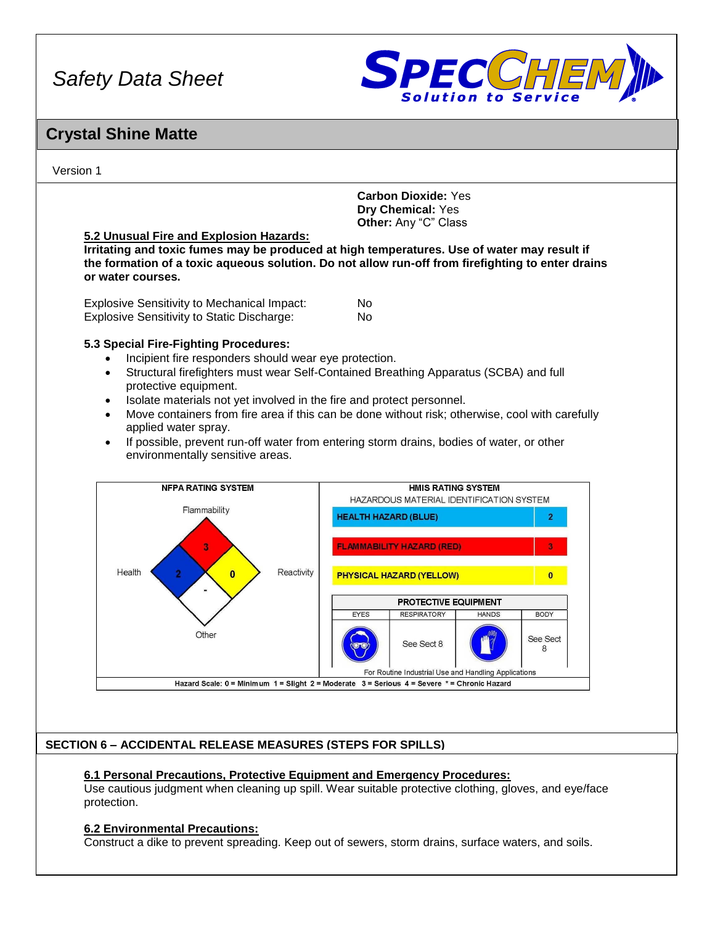

### **Crystal Shine Matte**

Version 1

**Carbon Dioxide:** Yes **Dry Chemical:** Yes **Other:** Any "C" Class

#### **5.2 Unusual Fire and Explosion Hazards:**

**Irritating and toxic fumes may be produced at high temperatures. Use of water may result if the formation of a toxic aqueous solution. Do not allow run-off from firefighting to enter drains or water courses.**

| <b>Explosive Sensitivity to Mechanical Impact:</b> | No. |
|----------------------------------------------------|-----|
| <b>Explosive Sensitivity to Static Discharge:</b>  | No. |

#### **5.3 Special Fire-Fighting Procedures:**

- Incipient fire responders should wear eye protection.
- Structural firefighters must wear Self-Contained Breathing Apparatus (SCBA) and full protective equipment.
- Isolate materials not yet involved in the fire and protect personnel.
- Move containers from fire area if this can be done without risk; otherwise, cool with carefully applied water spray.
- If possible, prevent run-off water from entering storm drains, bodies of water, or other environmentally sensitive areas.



#### **SECTION 6 – ACCIDENTAL RELEASE MEASURES (STEPS FOR SPILLS)**

#### **6.1 Personal Precautions, Protective Equipment and Emergency Procedures:**

Use cautious judgment when cleaning up spill. Wear suitable protective clothing, gloves, and eye/face protection.

#### **6.2 Environmental Precautions:**

Construct a dike to prevent spreading. Keep out of sewers, storm drains, surface waters, and soils.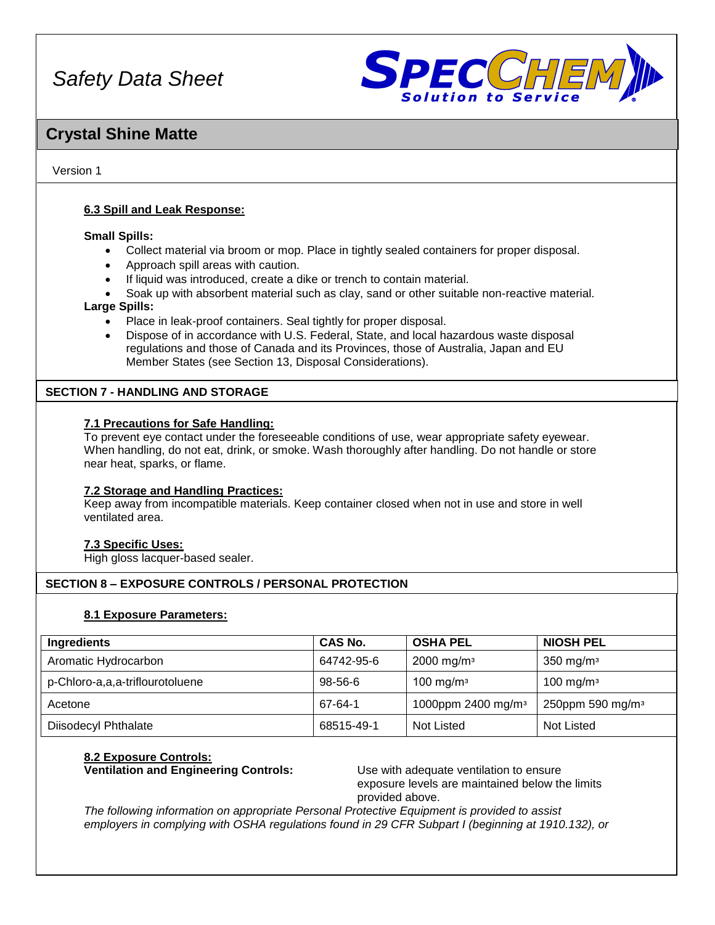

### **Crystal Shine Matte**

#### Version 1

#### **6.3 Spill and Leak Response:**

#### **Small Spills:**

- Collect material via broom or mop. Place in tightly sealed containers for proper disposal.
- Approach spill areas with caution.
- If liquid was introduced, create a dike or trench to contain material.
- Soak up with absorbent material such as clay, sand or other suitable non-reactive material.

#### **Large Spills:**

- Place in leak-proof containers. Seal tightly for proper disposal.
- Dispose of in accordance with U.S. Federal, State, and local hazardous waste disposal regulations and those of Canada and its Provinces, those of Australia, Japan and EU Member States (see Section 13, Disposal Considerations).

#### **SECTION 7 - HANDLING AND STORAGE**

#### **7.1 Precautions for Safe Handling:**

To prevent eye contact under the foreseeable conditions of use, wear appropriate safety eyewear. When handling, do not eat, drink, or smoke. Wash thoroughly after handling. Do not handle or store near heat, sparks, or flame.

#### **7.2 Storage and Handling Practices:**

Keep away from incompatible materials. Keep container closed when not in use and store in well ventilated area.

#### **7.3 Specific Uses:**

High gloss lacquer-based sealer.

#### **SECTION 8 – EXPOSURE CONTROLS / PERSONAL PROTECTION**

#### **8.1 Exposure Parameters:**

| Ingredients                     | CAS No.       | <b>OSHA PEL</b>                | <b>NIOSH PEL</b>             |
|---------------------------------|---------------|--------------------------------|------------------------------|
| Aromatic Hydrocarbon            | 64742-95-6    | $2000 \; \text{mg/m}^3$        | 350 mg/m $3$                 |
| p-Chloro-a,a,a-triflourotoluene | $98 - 56 - 6$ | 100 mg/m $3$                   | $100$ mg/m <sup>3</sup>      |
| Acetone                         | 67-64-1       | 1000ppm 2400 mg/m <sup>3</sup> | 250ppm 590 mg/m <sup>3</sup> |
| <b>Diisodecyl Phthalate</b>     | 68515-49-1    | Not Listed                     | Not Listed                   |

### **8.2 Exposure Controls:**

**Ventilation and Engineering Controls:** Use with adequate ventilation to ensure

exposure levels are maintained below the limits provided above.

*The following information on appropriate Personal Protective Equipment is provided to assist employers in complying with OSHA regulations found in 29 CFR Subpart I (beginning at 1910.132), or*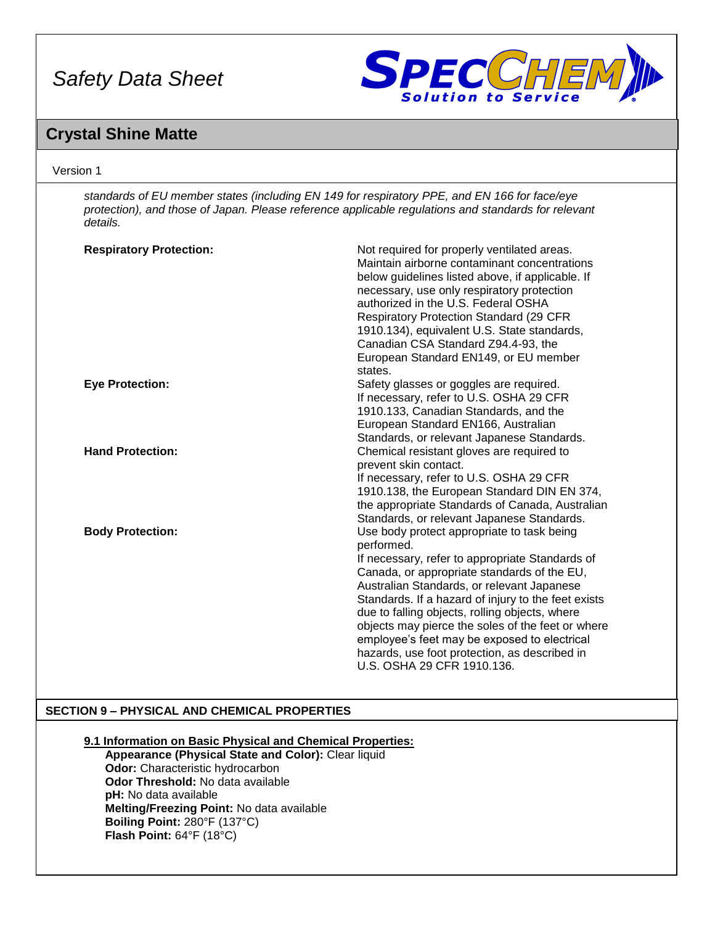

### **Crystal Shine Matte**

#### Version 1

*standards of EU member states (including EN 149 for respiratory PPE, and EN 166 for face/eye protection), and those of Japan. Please reference applicable regulations and standards for relevant details.*

| <b>Respiratory Protection:</b> | Not required for properly ventilated areas.<br>Maintain airborne contaminant concentrations<br>below guidelines listed above, if applicable. If<br>necessary, use only respiratory protection<br>authorized in the U.S. Federal OSHA<br><b>Respiratory Protection Standard (29 CFR)</b><br>1910.134), equivalent U.S. State standards,<br>Canadian CSA Standard Z94.4-93, the<br>European Standard EN149, or EU member<br>states.                                                                     |
|--------------------------------|-------------------------------------------------------------------------------------------------------------------------------------------------------------------------------------------------------------------------------------------------------------------------------------------------------------------------------------------------------------------------------------------------------------------------------------------------------------------------------------------------------|
| <b>Eye Protection:</b>         | Safety glasses or goggles are required.<br>If necessary, refer to U.S. OSHA 29 CFR<br>1910.133, Canadian Standards, and the<br>European Standard EN166, Australian<br>Standards, or relevant Japanese Standards.                                                                                                                                                                                                                                                                                      |
| <b>Hand Protection:</b>        | Chemical resistant gloves are required to<br>prevent skin contact.<br>If necessary, refer to U.S. OSHA 29 CFR<br>1910.138, the European Standard DIN EN 374,<br>the appropriate Standards of Canada, Australian<br>Standards, or relevant Japanese Standards.                                                                                                                                                                                                                                         |
| <b>Body Protection:</b>        | Use body protect appropriate to task being<br>performed.<br>If necessary, refer to appropriate Standards of<br>Canada, or appropriate standards of the EU,<br>Australian Standards, or relevant Japanese<br>Standards. If a hazard of injury to the feet exists<br>due to falling objects, rolling objects, where<br>objects may pierce the soles of the feet or where<br>employee's feet may be exposed to electrical<br>hazards, use foot protection, as described in<br>U.S. OSHA 29 CFR 1910.136. |

#### **SECTION 9 – PHYSICAL AND CHEMICAL PROPERTIES**

#### **9.1 Information on Basic Physical and Chemical Properties:**

**Appearance (Physical State and Color):** Clear liquid **Odor:** Characteristic hydrocarbon **Odor Threshold:** No data available **pH:** No data available **Melting/Freezing Point:** No data available **Boiling Point:** 280°F (137°C) **Flash Point:** 64°F (18°C)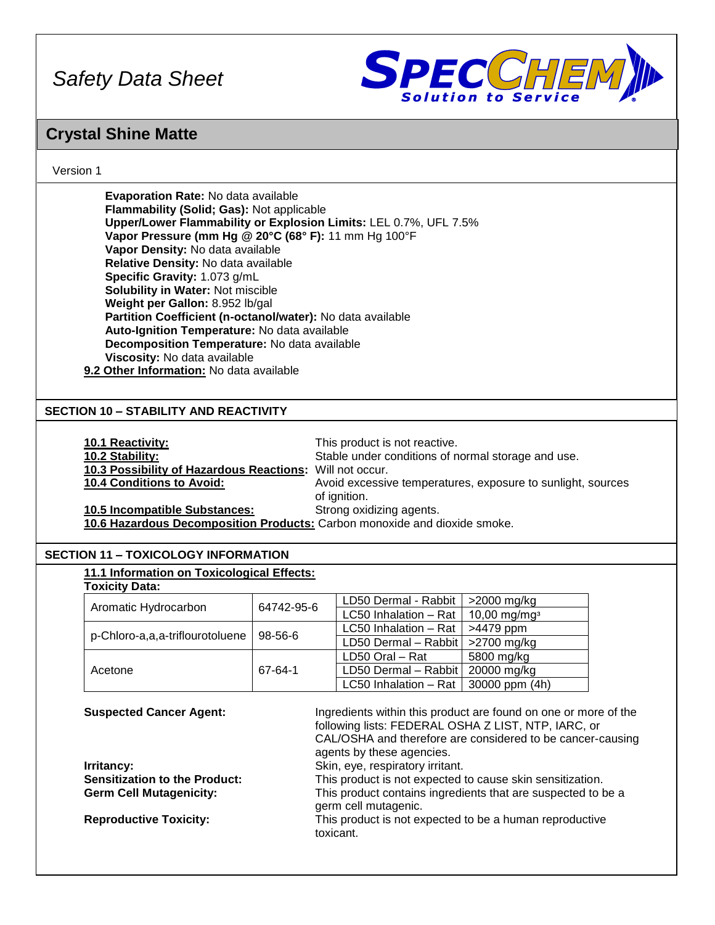

### **Crystal Shine Matte**

#### Version 1

| Evaporation Rate: No data available                              |
|------------------------------------------------------------------|
| Flammability (Solid; Gas): Not applicable                        |
| Upper/Lower Flammability or Explosion Limits: LEL 0.7%, UFL 7.5% |
| Vapor Pressure (mm Hg @ 20°C (68° F): 11 mm Hg 100°F             |
| Vapor Density: No data available                                 |
| Relative Density: No data available                              |
| Specific Gravity: 1.073 g/mL                                     |
| <b>Solubility in Water: Not miscible</b>                         |
| Weight per Gallon: 8.952 lb/gal                                  |
| Partition Coefficient (n-octanol/water): No data available       |
| Auto-Ignition Temperature: No data available                     |
| Decomposition Temperature: No data available                     |
| Viscosity: No data available                                     |
| 9.2 Other Information: No data available                         |

#### **SECTION 10 – STABILITY AND REACTIVITY**

| <b>10.1 Reactivity:</b>                                                   | This product is not reactive.                               |
|---------------------------------------------------------------------------|-------------------------------------------------------------|
| 10.2 Stability:                                                           | Stable under conditions of normal storage and use.          |
| 10.3 Possibility of Hazardous Reactions: Will not occur.                  |                                                             |
| <b>10.4 Conditions to Avoid:</b>                                          | Avoid excessive temperatures, exposure to sunlight, sources |
|                                                                           | of ignition.                                                |
| <b>10.5 Incompatible Substances:</b>                                      | Strong oxidizing agents.                                    |
| 10.6 Hazardous Decomposition Products: Carbon monoxide and dioxide smoke. |                                                             |

#### **SECTION 11 – TOXICOLOGY INFORMATION**

|                                 |               | LD50 Dermal - Rabbit               | >2000 mg/kg                |
|---------------------------------|---------------|------------------------------------|----------------------------|
| Aromatic Hydrocarbon            | 64742-95-6    | LC50 Inhalation - Rat              | $10,00$ mg/mg <sup>3</sup> |
|                                 | $98 - 56 - 6$ | LC50 Inhalation - Rat              | >4479 ppm                  |
| p-Chloro-a,a,a-triflourotoluene |               | LD50 Dermal - Rabbit   >2700 mg/kg |                            |
| Acetone                         | 67-64-1       | LD50 Oral - Rat                    | 5800 mg/kg                 |
|                                 |               | LD50 Dermal - Rabbit   20000 mg/kg |                            |
|                                 |               | LC50 Inhalation - Rat              | 30000 ppm (4h)             |

**Irritancy: Skin, eye, respiratory irritant.**<br> **Sensitization to the Product:** This product is not expected to

**Suspected Cancer Agent:** Ingredients within this product are found on one or more of the following lists: FEDERAL OSHA Z LIST, NTP, IARC, or CAL/OSHA and therefore are considered to be cancer-causing agents by these agencies. This product is not expected to cause skin sensitization. **Germ Cell Mutagenicity:** This product contains ingredients that are suspected to be a germ cell mutagenic. **Reproductive Toxicity:** This product is not expected to be a human reproductive toxicant.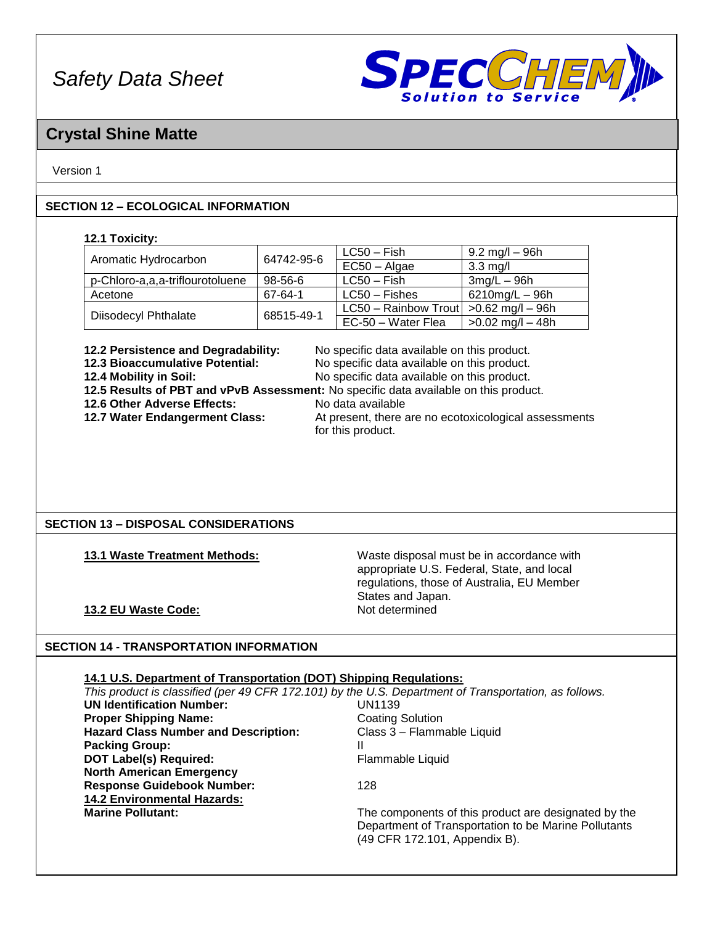

### **Crystal Shine Matte**

#### Version 1

#### **SECTION 12 – ECOLOGICAL INFORMATION**

#### **12.1 Toxicity:**

|                                 | 64742-95-6    | $LC50 - Fish$        | 9.2 mg/l – 96h       |
|---------------------------------|---------------|----------------------|----------------------|
| Aromatic Hydrocarbon            |               | $EC50 - Algae$       | $3.3 \text{ mg/l}$   |
| p-Chloro-a,a,a-triflourotoluene | $98 - 56 - 6$ | $LC50 - Fish$        | $3mg/L - 96h$        |
| Acetone                         | 67-64-1       | $LC50 - Fishes$      | $6210$ mg/L $-96$ h  |
| <b>Diisodecyl Phthalate</b>     | 68515-49-1    | LC50 - Rainbow Trout | $>0.62$ mg/l $-$ 96h |
|                                 |               | EC-50 - Water Flea   | $>0.02$ mg/l $-48h$  |

**12.2 Persistence and Degradability:** No specific data available on this product.<br>**12.3 Bioaccumulative Potential:** No specific data available on this product. **12.3 Bioaccumulative Potential:** No specific data available on this product.

**12.4 Mobility in Soil:** No specific data available on this product.

**12.5 Results of PBT and vPvB Assessment:** No specific data available on this product.

**12.6 Other Adverse Effects:** No data available<br>**12.7 Water Endangerment Class:** At present, there a

At present, there are no ecotoxicological assessments for this product.

#### **SECTION 13 – DISPOSAL CONSIDERATIONS**

**13.1 Waste Treatment Methods:** Waste disposal must be in accordance with appropriate U.S. Federal, State, and local regulations, those of Australia, EU Member States and Japan.

#### **13.2 EU Waste Code:** Not determined

#### **SECTION 14 - TRANSPORTATION INFORMATION**

| 14.1 U.S. Department of Transportation (DOT) Shipping Regulations: |                                                                                                       |
|--------------------------------------------------------------------|-------------------------------------------------------------------------------------------------------|
|                                                                    | This product is classified (per 49 CFR 172.101) by the U.S. Department of Transportation, as follows. |
| <b>UN Identification Number:</b>                                   | UN1139                                                                                                |
| <b>Proper Shipping Name:</b>                                       | <b>Coating Solution</b>                                                                               |
| <b>Hazard Class Number and Description:</b>                        | Class 3 - Flammable Liquid                                                                            |
| <b>Packing Group:</b>                                              | Ш                                                                                                     |
| <b>DOT Label(s) Required:</b>                                      | Flammable Liquid                                                                                      |
| <b>North American Emergency</b>                                    |                                                                                                       |
| <b>Response Guidebook Number:</b>                                  | 128                                                                                                   |
| <b>14.2 Environmental Hazards:</b>                                 |                                                                                                       |
| <b>Marine Pollutant:</b>                                           | The components of this product are designated by the                                                  |
|                                                                    | Department of Transportation to be Marine Pollutants                                                  |
|                                                                    | (49 CFR 172.101, Appendix B).                                                                         |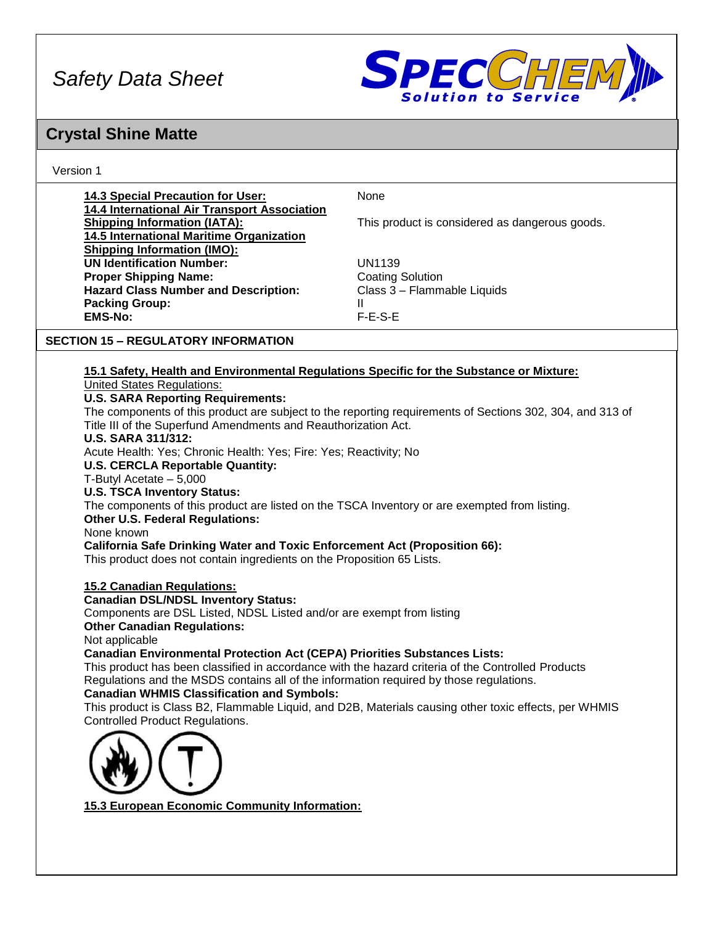

## **Crystal Shine Matte**

Ve

| Version 1                                                                                                                                                                                                               |                                                        |
|-------------------------------------------------------------------------------------------------------------------------------------------------------------------------------------------------------------------------|--------------------------------------------------------|
| 14.3 Special Precaution for User:<br><b>14.4 International Air Transport Association</b>                                                                                                                                | None                                                   |
| <b>Shipping Information (IATA):</b><br>14.5 International Maritime Organization                                                                                                                                         | This product is considered as dangerous goods.         |
| <b>Shipping Information (IMO):</b><br><b>UN Identification Number:</b>                                                                                                                                                  | <b>UN1139</b>                                          |
| <b>Proper Shipping Name:</b><br><b>Hazard Class Number and Description:</b>                                                                                                                                             | <b>Coating Solution</b><br>Class 3 - Flammable Liquids |
| <b>Packing Group:</b>                                                                                                                                                                                                   | Ш                                                      |
| <b>EMS-No:</b>                                                                                                                                                                                                          | $F-E-S-E$                                              |
| <b>SECTION 15 - REGULATORY INFORMATION</b>                                                                                                                                                                              |                                                        |
| 15.1 Safety, Health and Environmental Regulations Specific for the Substance or Mixture:                                                                                                                                |                                                        |
| <b>United States Regulations:</b>                                                                                                                                                                                       |                                                        |
| <b>U.S. SARA Reporting Requirements:</b><br>The components of this product are subject to the reporting requirements of Sections 302, 304, and 313 of<br>Title III of the Superfund Amendments and Reauthorization Act. |                                                        |
| <b>U.S. SARA 311/312:</b><br>Acute Health: Yes; Chronic Health: Yes; Fire: Yes; Reactivity; No                                                                                                                          |                                                        |
| <b>U.S. CERCLA Reportable Quantity:</b><br>T-Butyl Acetate - 5,000                                                                                                                                                      |                                                        |
| <b>U.S. TSCA Inventory Status:</b><br>The components of this product are listed on the TSCA Inventory or are exempted from listing.                                                                                     |                                                        |
| <b>Other U.S. Federal Regulations:</b>                                                                                                                                                                                  |                                                        |
| None known<br><b>California Safe Drinking Water and Toxic Enforcement Act (Proposition 66):</b>                                                                                                                         |                                                        |
| This product does not contain ingredients on the Proposition 65 Lists.                                                                                                                                                  |                                                        |
| <b>15.2 Canadian Regulations:</b>                                                                                                                                                                                       |                                                        |
| <b>Canadian DSL/NDSL Inventory Status:</b><br>Components are DSL Listed, NDSL Listed and/or are exempt from listing                                                                                                     |                                                        |
| <b>Other Canadian Regulations:</b>                                                                                                                                                                                      |                                                        |
| Not applicable<br><b>Canadian Environmental Protection Act (CEPA) Priorities Substances Lists:</b>                                                                                                                      |                                                        |
| This product has been classified in accordance with the hazard criteria of the Controlled Products                                                                                                                      |                                                        |
| Regulations and the MSDS contains all of the information required by those regulations.<br><b>Canadian WHMIS Classification and Symbols:</b>                                                                            |                                                        |
| This product is Class B2, Flammable Liquid, and D2B, Materials causing other toxic effects, per WHMIS<br><b>Controlled Product Regulations.</b>                                                                         |                                                        |
|                                                                                                                                                                                                                         |                                                        |
|                                                                                                                                                                                                                         |                                                        |
|                                                                                                                                                                                                                         |                                                        |
| 15.3 European Economic Community Information:                                                                                                                                                                           |                                                        |